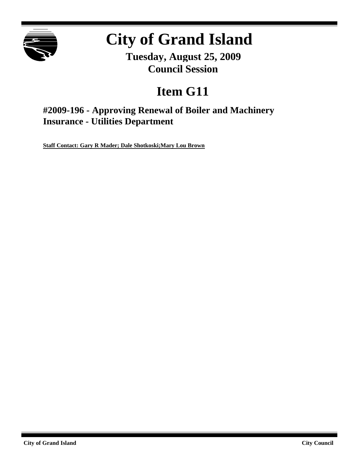

# **City of Grand Island**

**Tuesday, August 25, 2009 Council Session**

# **Item G11**

**#2009-196 - Approving Renewal of Boiler and Machinery Insurance - Utilities Department**

**Staff Contact: Gary R Mader; Dale Shotkoski;Mary Lou Brown**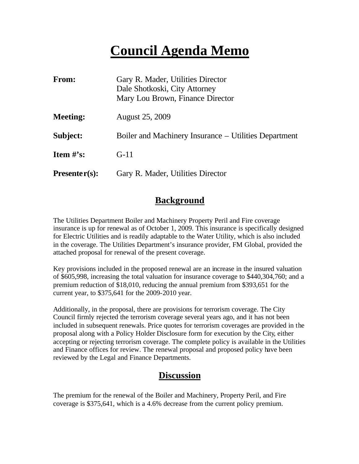# **Council Agenda Memo**

| From:           | Gary R. Mader, Utilities Director<br>Dale Shotkoski, City Attorney<br>Mary Lou Brown, Finance Director |
|-----------------|--------------------------------------------------------------------------------------------------------|
| <b>Meeting:</b> | <b>August 25, 2009</b>                                                                                 |
| Subject:        | Boiler and Machinery Insurance – Utilities Department                                                  |
| Item $#$ 's:    | $G-11$                                                                                                 |
| $Presenter(s):$ | Gary R. Mader, Utilities Director                                                                      |

### **Background**

The Utilities Department Boiler and Machinery Property Peril and Fire coverage insurance is up for renewal as of October 1, 2009. This insurance is specifically designed for Electric Utilities and is readily adaptable to the Water Utility, which is also included in the coverage. The Utilities Department's insurance provider, FM Global, provided the attached proposal for renewal of the present coverage.

Key provisions included in the proposed renewal are an increase in the insured valuation of \$605,998, increasing the total valuation for insurance coverage to \$440,304,760; and a premium reduction of \$18,010, reducing the annual premium from \$393,651 for the current year, to \$375,641 for the 2009-2010 year.

Additionally, in the proposal, there are provisions for terrorism coverage. The City Council firmly rejected the terrorism coverage several years ago, and it has not been included in subsequent renewals. Price quotes for terrorism coverages are provided in the proposal along with a Policy Holder Disclosure form for execution by the City, either accepting or rejecting terrorism coverage. The complete policy is available in the Utilities and Finance offices for review. The renewal proposal and proposed policy have been reviewed by the Legal and Finance Departments.

### **Discussion**

The premium for the renewal of the Boiler and Machinery, Property Peril, and Fire coverage is \$375,641, which is a 4.6% decrease from the current policy premium.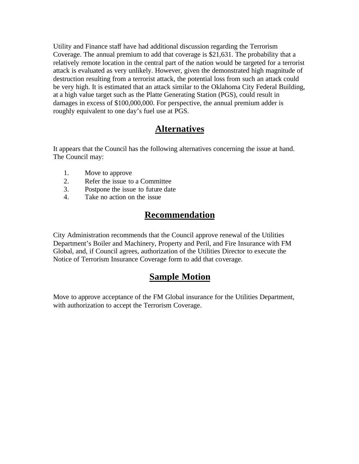Utility and Finance staff have had additional discussion regarding the Terrorism Coverage. The annual premium to add that coverage is \$21,631. The probability that a relatively remote location in the central part of the nation would be targeted for a terrorist attack is evaluated as very unlikely. However, given the demonstrated high magnitude of destruction resulting from a terrorist attack, the potential loss from such an attack could be very high. It is estimated that an attack similar to the Oklahoma City Federal Building, at a high value target such as the Platte Generating Station (PGS), could result in damages in excess of \$100,000,000. For perspective, the annual premium adder is roughly equivalent to one day's fuel use at PGS.

### **Alternatives**

It appears that the Council has the following alternatives concerning the issue at hand. The Council may:

- 1. Move to approve
- 2. Refer the issue to a Committee
- 3. Postpone the issue to future date
- 4. Take no action on the issue

### **Recommendation**

City Administration recommends that the Council approve renewal of the Utilities Department's Boiler and Machinery, Property and Peril, and Fire Insurance with FM Global, and, if Council agrees, authorization of the Utilities Director to execute the Notice of Terrorism Insurance Coverage form to add that coverage.

### **Sample Motion**

Move to approve acceptance of the FM Global insurance for the Utilities Department, with authorization to accept the Terrorism Coverage.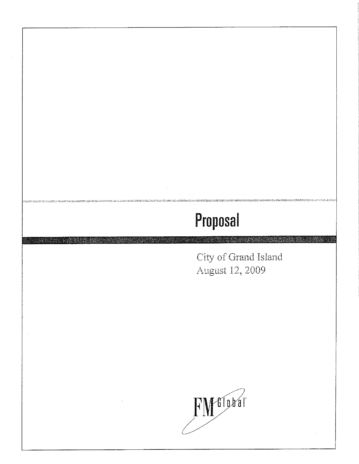City of Grand Island August 12, 2009

enteration de constant de

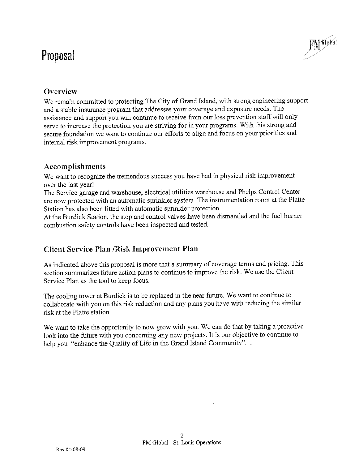

### **Overview**

We remain committed to protecting The City of Grand Island, with strong engineering support and a stable insurance program that addresses your coverage and exposure needs. The assistance and support you will continue to receive from our loss prevention staff will only serve to increase the protection you are striving for in your programs. With this strong and secure foundation we want to continue our efforts to align and focus on your priorities and internal risk improvement programs.

#### Accomplishments

We want to recognize the tremendous success you have had in physical risk improvement over the last year!

The Service garage and warehouse, electrical utilities warehouse and Phelps Control Center are now protected with an automatic sprinkler system. The instrumentation room at the Platte Station has also been fitted with automatic sprinkler protection.

At the Burdick Station, the stop and control valves have been dismantled and the fuel burner combustion safety controls have been inspected and tested.

#### **Client Service Plan / Risk Improvement Plan**

As indicated above this proposal is more that a summary of coverage terms and pricing. This section summarizes future action plans to continue to improve the risk. We use the Client Service Plan as the tool to keep focus.

The cooling tower at Burdick is to be replaced in the near future. We want to continue to collaborate with you on this risk reduction and any plans you have with reducing the similar risk at the Platte station.

We want to take the opportunity to now grow with you. We can do that by taking a proactive look into the future with you concerning any new projects. It is our objective to continue to help you "enhance the Quality of Life in the Grand Island Community"...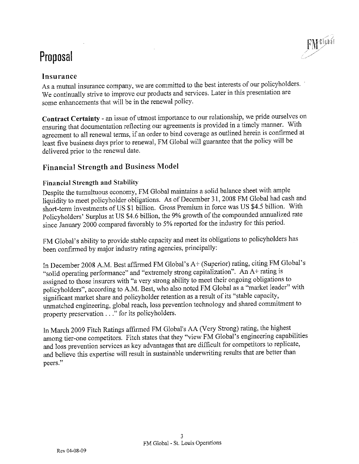

### Insurance

As a mutual insurance company, we are committed to the best interests of our policyholders. We continually strive to improve our products and services. Later in this presentation are some enhancements that will be in the renewal policy.

Contract Certainty - an issue of utmost importance to our relationship, we pride ourselves on ensuring that documentation reflecting our agreements is provided in a timely manner. With agreement to all renewal terms, if an order to bind coverage as outlined herein is confirmed at least five business days prior to renewal, FM Global will guarantee that the policy will be delivered prior to the renewal date.

### **Financial Strength and Business Model**

#### **Financial Strength and Stability**

Despite the tumultuous economy, FM Global maintains a solid balance sheet with ample liquidity to meet policyholder obligations. As of December 31, 2008 FM Global had cash and short-term investments of US \$1 billion. Gross Premium in force was US \$4.5 billion. With Policyholders' Surplus at US \$4.6 billion, the 9% growth of the compounded annualized rate since January 2000 compared favorably to 5% reported for the industry for this period.

FM Global's ability to provide stable capacity and meet its obligations to policyholders has been confirmed by major industry rating agencies, principally:

In December 2008 A.M. Best affirmed FM Global's A+ (Superior) rating, citing FM Global's "solid operating performance" and "extremely strong capitalization". An A+ rating is assigned to those insurers with "a very strong ability to meet their ongoing obligations to policyholders", according to A.M. Best, who also noted FM Global as a "market leader" with significant market share and policyholder retention as a result of its "stable capacity, unmatched engineering, global reach, loss prevention technology and shared commitment to property preservation . . ." for its policyholders.

In March 2009 Fitch Ratings affirmed FM Global's AA (Very Strong) rating, the highest among tier-one competitors. Fitch states that they "view FM Global's engineering capabilities and loss prevention services as key advantages that are difficult for competitors to replicate, and believe this expertise will result in sustainable underwriting results that are better than peers."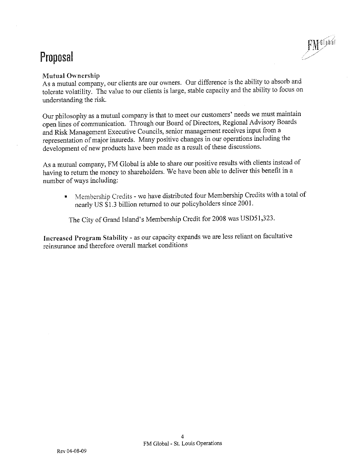#### **Mutual Ownership**

As a mutual company, our clients are our owners. Our difference is the ability to absorb and tolerate volatility. The value to our clients is large, stable capacity and the ability to focus on understanding the risk.

**FMTION** 

Our philosophy as a mutual company is that to meet our customers' needs we must maintain open lines of communication. Through our Board of Directors, Regional Advisory Boards and Risk Management Executive Councils, senior management receives input from a representation of major insureds. Many positive changes in our operations including the development of new products have been made as a result of these discussions.

As a mutual company, FM Global is able to share our positive results with clients instead of having to return the money to shareholders. We have been able to deliver this benefit in a number of ways including:

Membership Credits - we have distributed four Membership Credits with a total of  $\blacksquare$ nearly US \$1.3 billion returned to our policyholders since 2001.

The City of Grand Island's Membership Credit for 2008 was USD51,323.

Increased Program Stability - as our capacity expands we are less reliant on facultative reinsurance and therefore overall market conditions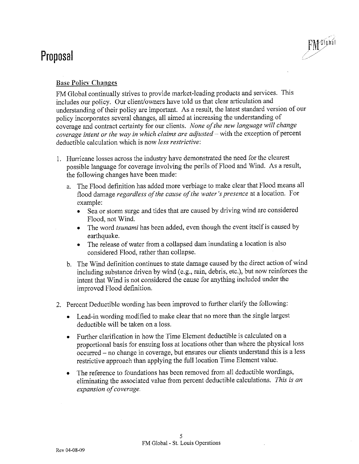

#### **Base Policy Changes**

FM Global continually strives to provide market-leading products and services. This includes our policy. Our client/owners have told us that clear articulation and understanding of their policy are important. As a result, the latest standard version of our policy incorporates several changes, all aimed at increasing the understanding of coverage and contract certainty for our clients. None of the new language will change coverage intent or the way in which claims are adjusted  $-$  with the exception of percent deductible calculation which is now *less restrictive*:

- 1. Hurricane losses across the industry have demonstrated the need for the clearest possible language for coverage involving the perils of Flood and Wind. As a result, the following changes have been made:
	- a. The Flood definition has added more verbiage to make clear that Flood means all flood damage regardless of the cause of the water's presence at a location. For example:
		- Sea or storm surge and tides that are caused by driving wind are considered Flood, not Wind.
		- The word *tsunami* has been added, even though the event itself is caused by earthquake.
		- The release of water from a collapsed dam inundating a location is also considered Flood, rather than collapse.
	- b. The Wind definition continues to state damage caused by the direct action of wind including substance driven by wind (e.g., rain, debris, etc.), but now reinforces the intent that Wind is not considered the cause for anything included under the improved Flood definition.
- 2. Percent Deductible wording has been improved to further clarify the following:
	- Lead-in wording modified to make clear that no more than the single largest deductible will be taken on a loss.
	- Further clarification in how the Time Element deductible is calculated on a proportional basis for ensuing loss at locations other than where the physical loss occurred – no change in coverage, but ensures our clients understand this is a less restrictive approach than applying the full location Time Element value.
	- The reference to foundations has been removed from all deductible wordings, eliminating the associated value from percent deductible calculations. This is an expansion of coverage.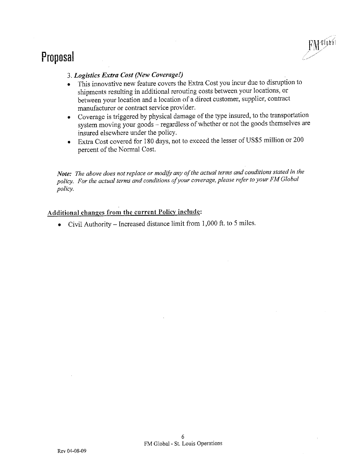

#### 3. Logistics Extra Cost (New Coverage!)

- This innovative new feature covers the Extra Cost you incur due to disruption to shipments resulting in additional rerouting costs between your locations, or between your location and a location of a direct customer, supplier, contract manufacturer or contract service provider.
- Coverage is triggered by physical damage of the type insured, to the transportation system moving your goods - regardless of whether or not the goods themselves are insured elsewhere under the policy.
- Extra Cost covered for 180 days, not to exceed the lesser of US\$5 million or 200 percent of the Normal Cost.

Note: The above does not replace or modify any of the actual terms and conditions stated in the policy. For the actual terms and conditions of your coverage, please refer to your FM Global policy.

### Additional changes from the current Policy include:

• Civil Authority – Increased distance limit from  $1,000$  ft. to 5 miles.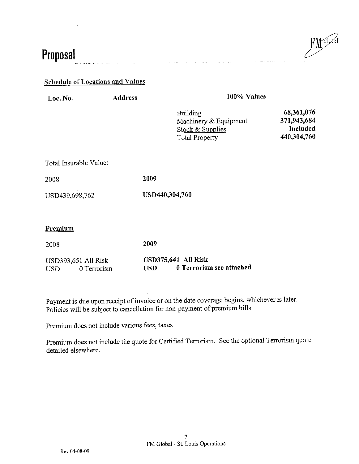**FMEILER** 

## Proposal

#### **Schedule of Locations and Values**

| Loc. No. |
|----------|
|----------|

**Address** 

100% Values

| Building              | 68,361,076  |  |
|-----------------------|-------------|--|
| Machinery & Equipment | 371,943,684 |  |
| Stock & Supplies      | Included    |  |
| <b>Total Property</b> | 440,304,760 |  |

Total Insurable Value:

2008

USD439,698,762

USD440,304,760

#### Premium

2009 2008

#### **USD375,641 All Risk** USD393,651 All Risk 0 Terrorism see attached **USD USD** 0 Terrorism

2009

Payment is due upon receipt of invoice or on the date coverage begins, whichever is later. Policies will be subject to cancellation for non-payment of premium bills.

Premium does not include various fees, taxes

Premium does not include the quote for Certified Terrorism. See the optional Terrorism quote detailed elsewhere.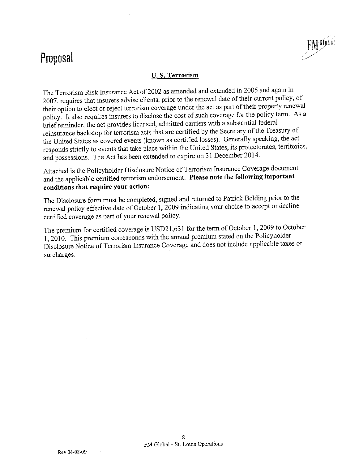#### **U.S. Terrorism**

FM flotal

The Terrorism Risk Insurance Act of 2002 as amended and extended in 2005 and again in 2007, requires that insurers advise clients, prior to the renewal date of their current policy, of their option to elect or reject terrorism coverage under the act as part of their property renewal policy. It also requires insurers to disclose the cost of such coverage for the policy term. As a brief reminder, the act provides licensed, admitted carriers with a substantial federal reinsurance backstop for terrorism acts that are certified by the Secretary of the Treasury of the United States as covered events (known as certified losses). Generally speaking, the act responds strictly to events that take place within the United States, its protectorates, territories, and possessions. The Act has been extended to expire on 31 December 2014.

Attached is the Policyholder Disclosure Notice of Terrorism Insurance Coverage document and the applicable certified terrorism endorsement. Please note the following important conditions that require your action:

The Disclosure form must be completed, signed and returned to Patrick Belding prior to the renewal policy effective date of October 1, 2009 indicating your choice to accept or decline certified coverage as part of your renewal policy.

The premium for certified coverage is USD21,631 for the term of October 1, 2009 to October 1, 2010. This premium corresponds with the annual premium stated on the Policyholder Disclosure Notice of Terrorism Insurance Coverage and does not include applicable taxes or surcharges.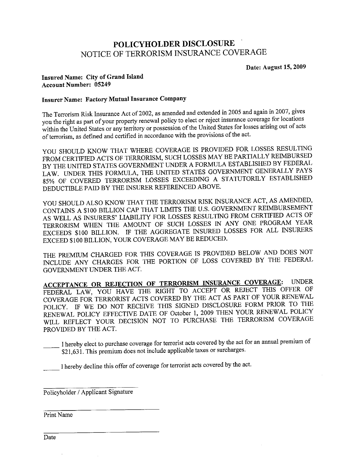### POLICYHOLDER DISCLOSURE NOTICE OF TERRORISM INSURANCE COVERAGE

Date: August 15, 2009

#### Insured Name: City of Grand Island **Account Number: 05249**

#### **Insurer Name: Factory Mutual Insurance Company**

The Terrorism Risk Insurance Act of 2002, as amended and extended in 2005 and again in 2007, gives you the right as part of your property renewal policy to elect or reject insurance coverage for locations within the United States or any territory or possession of the United States for losses arising out of acts of terrorism, as defined and certified in accordance with the provisions of the act.

YOU SHOULD KNOW THAT WHERE COVERAGE IS PROVIDED FOR LOSSES RESULTING FROM CERTIFIED ACTS OF TERRORISM, SUCH LOSSES MAY BE PARTIALLY REIMBURSED BY THE UNITED STATES GOVERNMENT UNDER A FORMULA ESTABLISHED BY FEDERAL LAW. UNDER THIS FORMULA, THE UNITED STATES GOVERNMENT GENERALLY PAYS 85% OF COVERED TERRORISM LOSSES EXCEEDING A STATUTORILY ESTABLISHED DEDUCTIBLE PAID BY THE INSURER REFERENCED ABOVE.

YOU SHOULD ALSO KNOW THAT THE TERRORISM RISK INSURANCE ACT, AS AMENDED, CONTAINS A \$100 BILLION CAP THAT LIMITS THE U.S. GOVERNMENT REIMBURSEMENT AS WELL AS INSURERS' LIABILITY FOR LOSSES RESULTING FROM CERTIFIED ACTS OF TERRORISM WHEN THE AMOUNT OF SUCH LOSSES IN ANY ONE PROGRAM YEAR EXCEEDS \$100 BILLION. IF THE AGGREGATE INSURED LOSSES FOR ALL INSURERS EXCEED \$100 BILLION, YOUR COVERAGE MAY BE REDUCED.

THE PREMIUM CHARGED FOR THIS COVERAGE IS PROVIDED BELOW AND DOES NOT INCLUDE ANY CHARGES FOR THE PORTION OF LOSS COVERED BY THE FEDERAL GOVERNMENT UNDER THE ACT.

ACCEPTANCE OR REJECTION OF TERRORISM INSURANCE COVERAGE: **UNDER** FEDERAL LAW, YOU HAVE THE RIGHT TO ACCEPT OR REJECT THIS OFFER OF COVERAGE FOR TERRORIST ACTS COVERED BY THE ACT AS PART OF YOUR RENEWAL POLICY. IF WE DO NOT RECEIVE THIS SIGNED DISCLOSURE FORM PRIOR TO THE RENEWAL POLICY EFFECTIVE DATE OF October 1, 2009 THEN YOUR RENEWAL POLICY WILL REFLECT YOUR DECISION NOT TO PURCHASE THE TERRORISM COVERAGE PROVIDED BY THE ACT.

I hereby elect to purchase coverage for terrorist acts covered by the act for an annual premium of \$21,631. This premium does not include applicable taxes or surcharges.

I hereby decline this offer of coverage for terrorist acts covered by the act.

Policyholder / Applicant Signature

Print Name

Date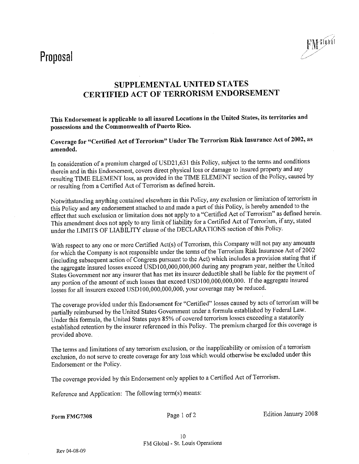

### **SUPPLEMENTAL UNITED STATES** CERTIFIED ACT OF TERRORISM ENDORSEMENT

This Endorsement is applicable to all insured Locations in the United States, its territories and possessions and the Commonwealth of Puerto Rico.

Coverage for "Certified Act of Terrorism" Under The Terrorism Risk Insurance Act of 2002, as amended.

In consideration of a premium charged of USD21,631 this Policy, subject to the terms and conditions therein and in this Endorsement, covers direct physical loss or damage to insured property and any resulting TIME ELEMENT loss, as provided in the TIME ELEMENT section of the Policy, caused by or resulting from a Certified Act of Terrorism as defined herein.

Notwithstanding anything contained elsewhere in this Policy, any exclusion or limitation of terrorism in this Policy and any endorsement attached to and made a part of this Policy, is hereby amended to the effect that such exclusion or limitation does not apply to a "Certified Act of Terrorism" as defined herein. This amendment does not apply to any limit of liability for a Certified Act of Terrorism, if any, stated under the LIMITS OF LIABILITY clause of the DECLARATIONS section of this Policy.

With respect to any one or more Certified Act(s) of Terrorism, this Company will not pay any amounts for which the Company is not responsible under the terms of the Terrorism Risk Insurance Act of 2002 (including subsequent action of Congress pursuant to the Act) which includes a provision stating that if the aggregate insured losses exceed USD100,000,000,000 during any program year, neither the United States Government nor any insurer that has met its insurer deductible shall be liable for the payment of any portion of the amount of such losses that exceed USD100,000,000,000. If the aggregate insured losses for all insurers exceed USD100,000,000,000, your coverage may be reduced.

The coverage provided under this Endorsement for "Certified" losses caused by acts of terrorism will be partially reimbursed by the United States Government under a formula established by Federal Law. Under this formula, the United States pays 85% of covered terrorism losses exceeding a statutorily established retention by the insurer referenced in this Policy. The premium charged for this coverage is provided above.

The terms and limitations of any terrorism exclusion, or the inapplicability or omission of a terrorism exclusion, do not serve to create coverage for any loss which would otherwise be excluded under this Endorsement or the Policy.

The coverage provided by this Endorsement only applies to a Certified Act of Terrorism.

Reference and Application: The following term(s) means:

Form FMG7308

Page 1 of 2

Edition January 2008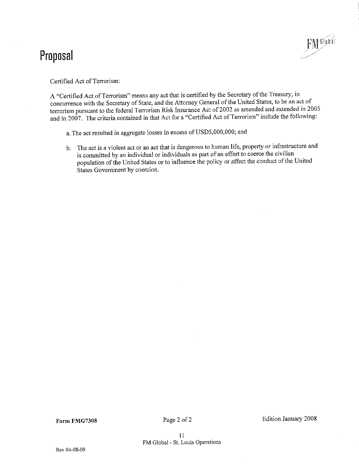

Certified Act of Terrorism:

A "Certified Act of Terrorism" means any act that is certified by the Secretary of the Treasury, in concurrence with the Secretary of State, and the Attorney General of the United States, to be an act of terrorism pursuant to the federal Terrorism Risk Insurance Act of 2002 as amended and extended in 2005 and in 2007. The criteria contained in that Act for a "Certified Act of Terrorism" include the following:

a. The act resulted in aggregate losses in excess of USD5,000,000; and

b. The act is a violent act or an act that is dangerous to human life, property or infrastructure and is committed by an individual or individuals as part of an effort to coerce the civilian population of the United States or to influence the policy or affect the conduct of the United States Government by coercion.